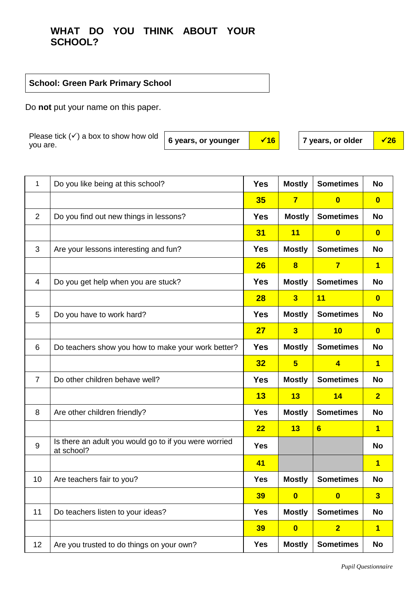## **WHAT DO YOU THINK ABOUT YOUR SCHOOL?**

## **School: Green Park Primary School**

Do **not** put your name on this paper.

Please tick  $(\checkmark)$  a box to show how old you are.

6 years, or younger  $\begin{array}{|c|c|c|c|c|c|} \hline \sqrt{16} & 7 \end{array}$  years, or older  $\begin{array}{|c|c|c|c|c|c|} \hline \sqrt{26} & 7 \end{array}$ 

| 1              | Do you like being at this school?                                   | <b>Yes</b> | <b>Mostly</b>           | <b>Sometimes</b>        | <b>No</b>               |
|----------------|---------------------------------------------------------------------|------------|-------------------------|-------------------------|-------------------------|
|                |                                                                     | 35         | $\overline{\mathbf{7}}$ | $\overline{\mathbf{0}}$ | $\overline{\mathbf{0}}$ |
| $\overline{2}$ | Do you find out new things in lessons?                              | <b>Yes</b> | <b>Mostly</b>           | <b>Sometimes</b>        | <b>No</b>               |
|                |                                                                     | 31         | 11                      | $\bf{0}$                | $\overline{\mathbf{0}}$ |
| 3              | Are your lessons interesting and fun?                               | <b>Yes</b> | <b>Mostly</b>           | <b>Sometimes</b>        | <b>No</b>               |
|                |                                                                     | 26         | $\bf{8}$                | $\overline{\mathbf{7}}$ | $\overline{\mathbf{1}}$ |
| 4              | Do you get help when you are stuck?                                 | <b>Yes</b> | <b>Mostly</b>           | <b>Sometimes</b>        | <b>No</b>               |
|                |                                                                     | 28         | $\overline{\mathbf{3}}$ | 11                      | $\overline{\mathbf{0}}$ |
| 5              | Do you have to work hard?                                           | <b>Yes</b> | <b>Mostly</b>           | <b>Sometimes</b>        | <b>No</b>               |
|                |                                                                     | 27         | $\overline{\mathbf{3}}$ | 10                      | $\overline{\mathbf{0}}$ |
| 6              | Do teachers show you how to make your work better?                  | <b>Yes</b> | <b>Mostly</b>           | <b>Sometimes</b>        | <b>No</b>               |
|                |                                                                     | 32         | $5\phantom{1}$          | $\overline{4}$          | $\overline{\mathbf{1}}$ |
| $\overline{7}$ | Do other children behave well?                                      | <b>Yes</b> | <b>Mostly</b>           | <b>Sometimes</b>        | <b>No</b>               |
|                |                                                                     | 13         | 13                      | 14                      | $\overline{2}$          |
| 8              | Are other children friendly?                                        | <b>Yes</b> | <b>Mostly</b>           | <b>Sometimes</b>        | <b>No</b>               |
|                |                                                                     | 22         | 13                      | $6\phantom{1}$          | $\overline{\mathbf{1}}$ |
| 9              | Is there an adult you would go to if you were worried<br>at school? | <b>Yes</b> |                         |                         | <b>No</b>               |
|                |                                                                     | 41         |                         |                         | $\overline{\mathbf{1}}$ |
| 10             | Are teachers fair to you?                                           | <b>Yes</b> | <b>Mostly</b>           | <b>Sometimes</b>        | No                      |
|                |                                                                     | 39         | $\overline{\mathbf{0}}$ | $\overline{\mathbf{0}}$ | $\overline{\mathbf{3}}$ |
| 11             | Do teachers listen to your ideas?                                   | <b>Yes</b> | <b>Mostly</b>           | <b>Sometimes</b>        | <b>No</b>               |
|                |                                                                     | 39         | $\mathbf{0}$            | $\overline{2}$          | $\overline{\mathbf{1}}$ |
| 12             | Are you trusted to do things on your own?                           | <b>Yes</b> | <b>Mostly</b>           | <b>Sometimes</b>        | <b>No</b>               |